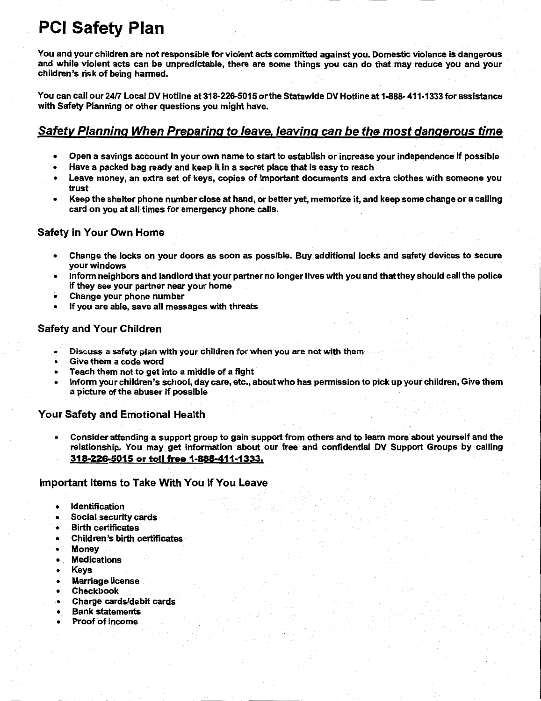# PCI Safety Plan

You and your children are not responsible for violent acts committed against you. Domestic violence is dangerous and while violent acts can be unpredictable, there are some things you can do that may reduce you and your children's risk of being harmed.

You can call our 24/7 Local DV Hotline at 318-226-5015 or the Statewide DV Hotline at 1-888· 411-1333 for assistance with Safety Planning or other questions you might have.

### Safety Planning When Preparing to leave. leaving can be the most dangerous time

- Open a savings account in your own name to start to establish or increase your independence if possible
- Have a packed bag ready and keep it in a secret place that is easy to reach
- Leave money, an extra set of keys, copies of important documents and extra clothes with someone you trust
- Keep the shelter phone number close at hand, or better yet, memorize it, and keep some change or a calling card on you at all times for emergency phone calls.

#### Safety in Your Own Home

- Change the locks on your doors as soon as possible. Buy additional locks and safety devices to secure your windows
- Inform neighbors and landlord that your partner no longer lives with you and that they should call the police if they see your partner near your home
- Change your phone number
- If you are able, save all messages with threats

#### Safety and Your Children

- . Discuss a safety plan with your children for when you are not with them
- Give them a code word
- Teach them not to get into a middle of a fight
- Inform your children's school, day care, etc., about who has permission to pick up your children, Give them a picture of the abuser if possible

#### Your Safety and Emotional Health

• Consider attending a support group to gain support from others and to learn more about yourself and the relationship. You may get information about our free and confidential DV Support Groups by calling 318·226·5015 or toll free 1·888·411·1333.

#### Important Items to Take With You If You Leave

- **Identification**
- Social security cards
- Birth certificates
- Children's birth certificates
- Money
- **Medications**
- Keys
- Marriage license
- Checkbook
- Charge cards/debit cards
- **Bank statements**
- Proof of income